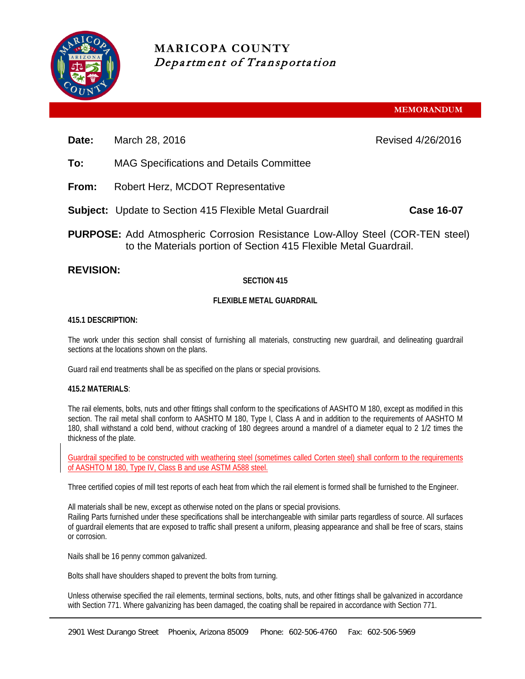

# **MARICOPA COUNTY** Department of Transportation

**MEMORANDUM**

**Date:** March 28, 2016 **Date:** Revised 4/26/2016

- **To:** MAG Specifications and Details Committee
- **From:** Robert Herz, MCDOT Representative
- **Subject:** Update to Section 415 Flexible Metal Guardrail **Case 16-07**
- **PURPOSE:** Add Atmospheric Corrosion Resistance Low-Alloy Steel (COR-TEN steel) to the Materials portion of Section 415 Flexible Metal Guardrail.

## **REVISION:**

### **SECTION 415**

#### **FLEXIBLE METAL GUARDRAIL**

#### **415.1 DESCRIPTION:**

The work under this section shall consist of furnishing all materials, constructing new guardrail, and delineating guardrail sections at the locations shown on the plans.

Guard rail end treatments shall be as specified on the plans or special provisions.

#### **415.2 MATERIALS**:

The rail elements, bolts, nuts and other fittings shall conform to the specifications of AASHTO M 180, except as modified in this section. The rail metal shall conform to AASHTO M 180, Type I, Class A and in addition to the requirements of AASHTO M 180, shall withstand a cold bend, without cracking of 180 degrees around a mandrel of a diameter equal to 2 1/2 times the thickness of the plate.

Guardrail specified to be constructed with weathering steel (sometimes called Corten steel) shall conform to the requirements of AASHTO M 180, Type IV, Class B and use ASTM A588 steel.

Three certified copies of mill test reports of each heat from which the rail element is formed shall be furnished to the Engineer.

All materials shall be new, except as otherwise noted on the plans or special provisions. Railing Parts furnished under these specifications shall be interchangeable with similar parts regardless of source. All surfaces of guardrail elements that are exposed to traffic shall present a uniform, pleasing appearance and shall be free of scars, stains or corrosion.

Nails shall be 16 penny common galvanized.

Bolts shall have shoulders shaped to prevent the bolts from turning.

Unless otherwise specified the rail elements, terminal sections, bolts, nuts, and other fittings shall be galvanized in accordance with Section 771. Where galvanizing has been damaged, the coating shall be repaired in accordance with Section 771.